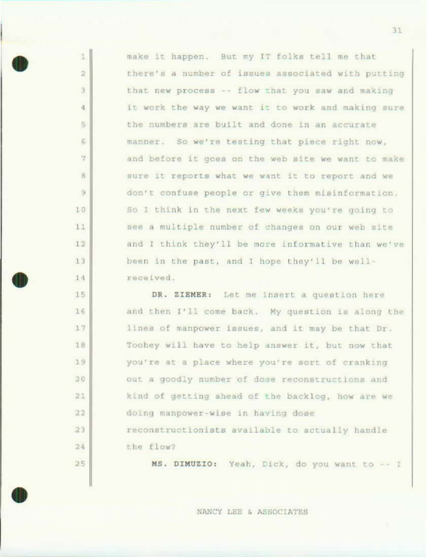make it happen. But my IT folks tell me that there's a number of issues associated with putting that new process -- flow that you saw and making it work the way we want it to work and making sure the numbers are built and done in an accurate manner. So we're testing that piece right now, and before it goes on the web site we want to make sure it reports what we want it to report and we don't confuse people or give them misinformation. So I think in the next few weeks you're going to see a multiple number of changes on our web site and I think they'll be more informative than we've been in the past, and I hope they'll be wellreceived.

ä.

 $\overline{z}$ 

3

 $\frac{1}{2}$ 

 $\overline{5}$ 

6

 $\overline{7}$ 

8

9

 $10$ 

11

 $12$ 

 $13$ 

14

15

16

17

18

19

 $20$ 

 $27$ 

22

 $23$ 

 $24$ 

25

DR. ZIEMER: Let me insert a question here and then I'll come back. My question is along the lines of manpower issues, and it may be that Dr. Toohey will have to help answer it, but now that you're at a place where you're sort of cranking out a goodly number of dose reconstructions and kind of getting ahead of the backlog, how are we doing manpower-wise in having dose reconstructionists available to actually handle the flow?

MS. DIMUZIO: Yeah, Dick, do you want to -- I

NANCY LEE & ASSOCIATES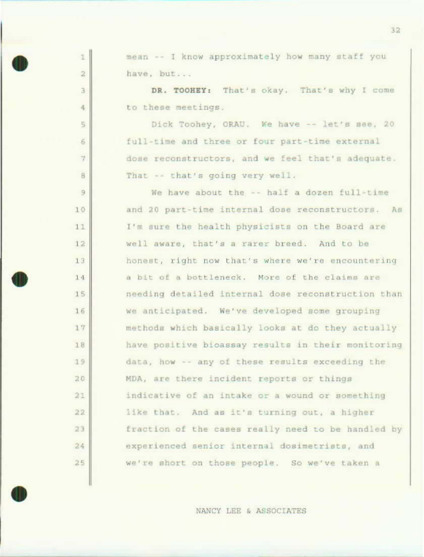mean -- I know approximately how many staff you have, but...

1

 $\bar{z}$ 

 $\overline{3}$ 

4

 $\overline{5}$ 

 $\overline{6}$ 

 $7<sup>2</sup>$ 

 $\overline{B}$ 

9

 $10$ 

 $11$ 

 $12$ 

13

 $14$ 

 $15$ 

16

 $17$ 

18

19

20

 $21$ 

 $22$ 

23

24

25

DR. TOOHEY: That's okay. That's why I come to these meetings.

Dick Toohey, ORAU. We have -- let's see, 20 full-time and three or four part-time external dose reconstructors, and we feel that's adequate. That -- that's going very well.

We have about the -- half a dozen full-time and 20 part-time internal dose reconstructors. As I'm sure the health physicists on the Board are well aware, that's a rarer breed. And to be honest, right now that's where we're encountering a bit of a bottleneck. More of the claims are needing detailed internal dose reconstruction than we anticipated. We've developed some grouping methods which basically looks at do they actually have positive bioassay results in their monitoring data, how -- any of these results exceeding the MDA, are there incident reports or things indicative of an intake or a wound or something like that. And as it's turning out, a higher fraction of the cases really need to be handled by experienced senior internal dosimetrists, and we're short on those people. So we've taken a

NANCY LEE & ASSOCIATES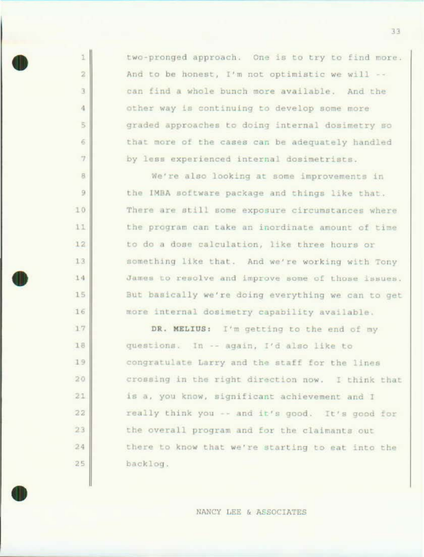two-pronged approach. One is to try to find more. And to be honest, I'm not optimistic we will -can find a whole bunch more available. And the other way is continuing to develop some more graded approaches to doing internal dosimetry so that more of the cases can be adequately handled by less experienced internal dosimetrists.

1

 $\overline{2}$ 

3.

4

嵩

 $\overline{6}$ 

 $\tau$ 

 $\mathbf{B}$ 

 $\overline{9}$ 

10

 $11$ 

12

13

14

 $15$ 

16

17

1B

 $19$ 

 $20$ 

 $21$ 

22

23

24

 $25$ 

We're also looking at some improvements in the IMBA software package and things like that. There are still some exposure circumstances where the program can take an inordinate amount of time to do a dose calculation, like three hours or something like that. And we're working with Tony James to resolve and improve some of those issues. But basically we're doing everything we can to get more internal dosimetry capability available.

DR. MELIUS: I'm getting to the end of my questions. In -- again, I'd also like to congratulate Larry and the staff for the lines crossing in the right direction now. I think that is a, you know, significant achievement and I really think you -- and it's good. It's good for the overall program and for the claimants out there to know that we're starting to eat into the backlog.

NANCY LEE & ASSOCIATES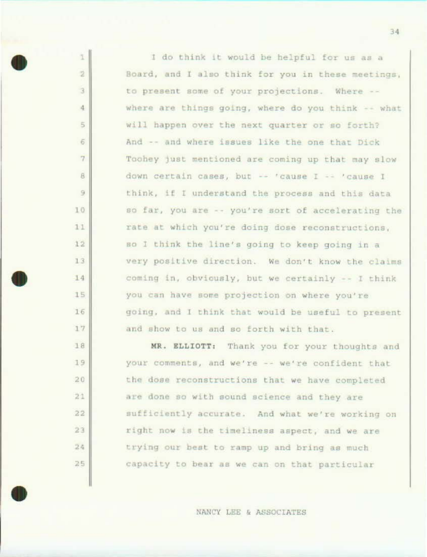I do think it would be helpful for us as a Board, and I also think for you in these meetings, to present some of your projections. Where -where are things going, where do you think -- what will happen over the next quarter or so forth? And -- and where issues like the one that Dick Toohey just mentioned are coming up that may slow down certain cases, but -- 'cause I -- 'cause I think, if I understand the process and this data so far, you are -- you're sort of accelerating the rate at which you're doing dose reconstructions, so I think the line's going to keep going in a very positive direction. We don't know the claims coming in, obviously, but we certainly -- I think you can have some projection on where you're going, and I think that would be useful to present and show to us and so forth with that.

T.

ž

 $\overline{3}$ 

 $\Delta$ 

 $\overline{5}$ 

 $\ddot{\sigma}$ 

 $\overline{7}$ 

8

9

10

 $11$ 

 $12$ 

 $13$ 

14

15

16

17

18

19

 $20$ 

 $21$ 

 $22$ 

 $23$ 

24

25

MR. ELLIOTT: Thank you for your thoughts and your comments, and we're -- we're confident that the dose reconstructions that we have completed are done so with sound science and they are sufficiently accurate. And what we're working on right now is the timeliness aspect, and we are trying our best to ramp up and bring as much capacity to bear as we can on that particular

NANCY LEE & ASSOCIATES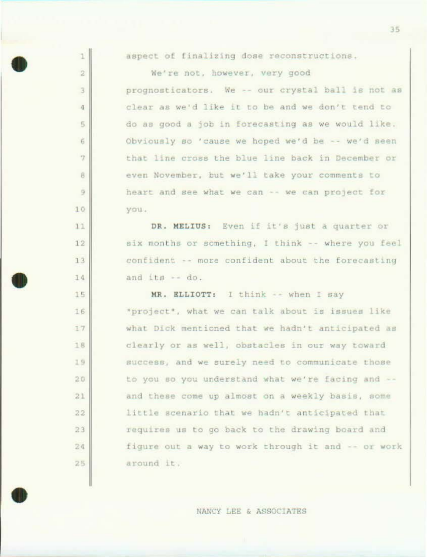aspect of finalizing dose reconstructions.

 $\mathbf{1}$ 

2

3

 $\overline{4}$ 

 $\sqrt{2}$ 

 $\ddot{6}$ 

 $\overline{7}$ 

8

9

 $10$ 

 $11$ 

 $12$ 

 $13$ 

14

15

16

 $17$ 

18

19

 $20$ 

 $21$ 

22

23

24

25

We're not, however, very good prognosticators. We -- our crystal ball is not as clear as we'd like it to be and we don't tend to do as good a job in forecasting as we would like. Obviously so 'cause we hoped we'd be -- we'd seen that line cross the blue line back in December or even November, but we'll take your comments to heart and see what we can -- we can project for you.

DR. MELIUS: Even if it's just a quarter or six months or something, I think -- where you feel confident -- more confident about the forecasting and  $its - do$ .

MR. ELLIOTT: I think -- when I say "project", what we can talk about is issues like what Dick mentioned that we hadn't anticipated as clearly or as well, obstacles in our way toward success, and we surely need to communicate those to you so you understand what we're facing and -and these come up almost on a weekly basis, some little scenario that we hadn't anticipated that requires us to go back to the drawing board and figure out a way to work through it and -- or work around it.

NANCY LEE & ASSOCIATES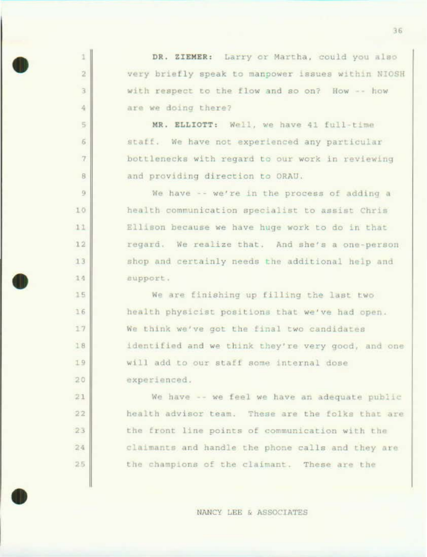t DR. ZIEMER: Larry or Martha, could you also  $\overline{2}$ very briefly speak to manpower issues within NIOSH with respect to the flow and so on? How -- how  $\overline{3}$ 4 are we doing there? MR. ELLIOTT: Well, we have 41 full-time  $\overline{5}$  $\sqrt{6}$ staff. We have not experienced any particular  $\tau$ bottlenecks with regard to our work in reviewing  $\theta$ and providing direction to ORAU. 9 We have -- we're in the process of adding a health communication specialist to assist Chris  $10$ 11 Ellison because we have huge work to do in that regard. We realize that. And she's a one-person  $12$ 13 shop and certainly needs the additional help and 14 support. 15 We are finishing up filling the last two  $16$ health physicist positions that we've had open. 17 We think we've got the final two candidates identified and we think they're very good, and one 18

> will add to our staff some internal dose experienced.

19

 $20$ 

 $21$ 

 $22$ 

 $23$ 

 $24$ 

25

We have -- we feel we have an adequate public health advisor team. These are the folks that are the front line points of communication with the claimants and handle the phone calls and they are the champions of the claimant. These are the

NANCY LEE & ASSOCIATES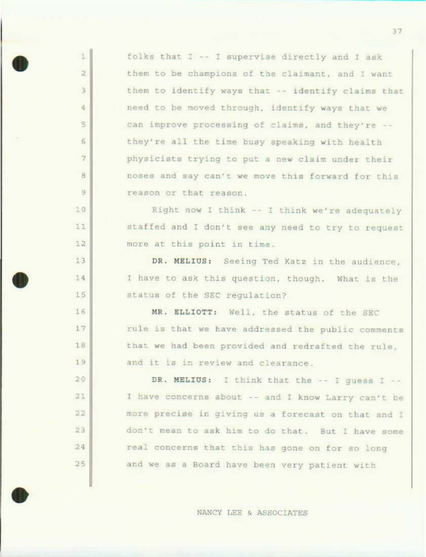| $\mathbbm{1}$     | folks that I -- I supervise directly and I ask     |
|-------------------|----------------------------------------------------|
| $\overline{2}$    | them to be champions of the claimant, and I want   |
| $\overline{3}$    | them to identify ways that -- identify claims that |
| $\hat{r}_{\rm E}$ | need to be moved through, identify ways that we    |
| $\overline{5}$    | can improve processing of claims, and they're --   |
| 6                 | they're all the time busy speaking with health     |
| $\overline{7}$    | physicists trying to put a new claim under their   |
| 8                 | noses and say can't we move this forward for this  |
| $\overline{9}$    | reason or that reason.                             |
| 10                | Right now I think -- I think we're adequately      |
| 11                | staffed and I don't see any need to try to request |
| 12                | more at this point in time.                        |
| 13                | DR. MELIUS: Seeing Ted Katz in the audience,       |
| 14                | I have to ask this question, though. What is the   |
| 15                | status of the SEC regulation?                      |
| 16                | MR. ELLIOTT: Well, the status of the SEC           |
| 17                | rule is that we have addressed the public comments |
| 18                | that we had been provided and redrafted the rule,  |
| 19                | and it is in review and clearance.                 |
| 20                | DR. MELIUS: I think that the -- I guess I --       |
| 21                | I have concerns about -- and I know Larry can't be |
| 22                | more precise in giving us a forecast on that and I |
| 23                | don't mean to ask him to do that. But I have some  |
| 24                | real concerns that this has gone on for so long    |
| 25                | and we as a Board have been very patient with      |

I

NANCY LEE & ASSOCIATES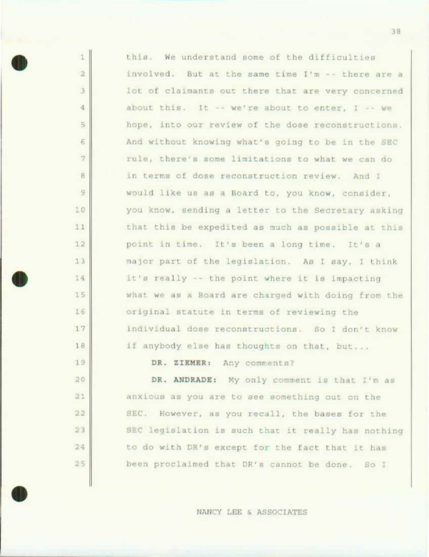| this. We understand some of the difficulties       |
|----------------------------------------------------|
| involved. But at the same time I'm -- there are a  |
| lot of claimants out there that are very concerned |
| about this. It -- we're about to enter, I -- we    |
| hope, into our review of the dose reconstructions. |
| And without knowing what's going to be in the SEC  |
| rule, there's some limitations to what we can do   |
| in terms of dose reconstruction review. And I      |
| would like us as a Board to, you know, consider,   |
| you know, sending a letter to the Secretary asking |
| that this be expedited as much as possible at this |
| point in time. It's been a long time. It's a       |
| major part of the legislation. As I say, I think   |
| it's really -- the point where it is impacting     |
| what we as a Board are charged with doing from the |
| original statute in terms of reviewing the         |
| individual dose reconstructions. So I don't know   |
| if anybody else has thoughts on that, but          |
| DR. ZIEMER: Any comments?                          |

 $\perp$ 

 $\bar{2}$ 

 $\overline{3}$ 

 $\frac{1}{2}$ 

 $\overline{5}$ 

 $\overline{6}$ 

 $\overline{7}$ 

 $8$ 

 $\overline{9}$ 

10

 $11$ 

 $12$ 

 $13$ 

14

 $15$ 

1.5

 $17$ 

18

 $19$ 

 $20$ 

 $21$ 

 $22$ 

23

24

 $25$ 

DR. ANDRADE: My only comment is that I'm as anxious as you are to see something out on the SEC. However, as you recall, the bases for the SEC legislation is such that it really has nothing to do with DR's except for the fact that it has been proclaimed that DR's cannot be done. So I

NANCY LEE & ASSOCIATES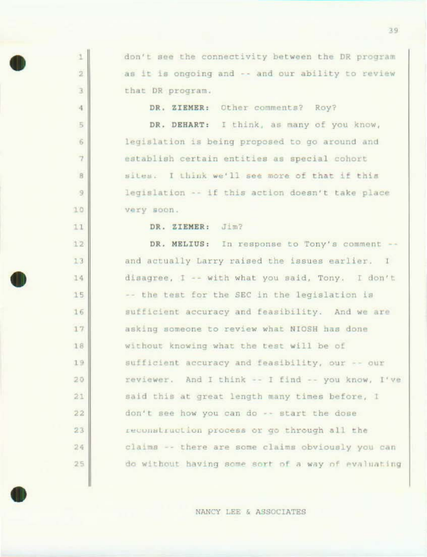don't see the connectivity between the DR program as it is ongoing and -- and our ability to review that DR program.

DR. ZIEMER: Other comments? Roy?

DR. DEHART: I think, as many of you know, legislation is being proposed to go around and establish certain entities as special cohort sites. I think we'll see more of that if this legislation -- if this action doesn't take place very soon.

DR. ZIEMER: Jim?

1

ž

 $\overline{3}$ 

4

 $\frac{1}{2}$ 

6

 $\overline{7}$ 

B

9

 $10$ 

 $11$ 

12

 $13$ 

14

 $15$ 

16

 $17$ 

18

19

20

 $21$ 

22

 $23$ 

 $24$ 

 $25$ 

DR. MELIUS: In response to Tony's comment -and actually Larry raised the issues earlier. I disagree, I -- with what you said, Tony. I don't -- the test for the SEC in the legislation is sufficient accuracy and feasibility. And we are asking someone to review what NIOSH has done without knowing what the test will be of sufficient accuracy and feasibility, our -- our reviewer. And I think -- I find -- you know, I've said this at great length many times before, I don't see how you can do -- start the dose reconstruction process or go through all the claims -- there are some claims obviously you can do without having some sort of a way of evaluating

NANCY LEE & ASSOCIATES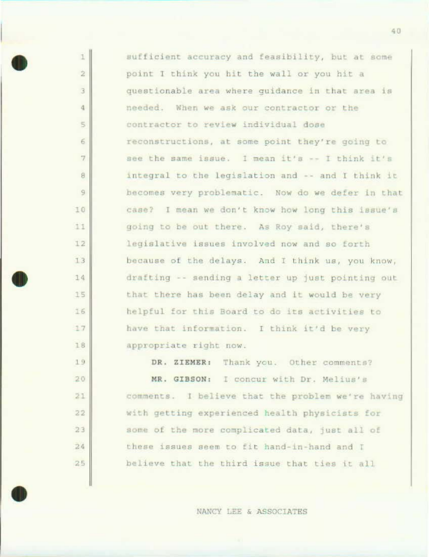sufficient accuracy and feasibility, but at some point I think you hit the wall or you hit a questionable area where quidance in that area is needed. When we ask our contractor or the contractor to review individual dose reconstructions, at some point they're going to see the same issue. I mean it's -- I think it's integral to the legislation and -- and I think it becomes very problematic. Now do we defer in that case? I mean we don't know how long this issue's going to be out there. As Roy said, there's legislative issues involved now and so forth because of the delays. And I think us, you know, drafting -- sending a letter up just pointing out that there has been delay and it would be very helpful for this Board to do its activities to have that information. I think it'd be very appropriate right now.

1

 $\overline{2}$ 

 $\overline{3}$ 

 $\frac{1}{2}$ 

 $\lesssim$ 

 $\overline{6}$ 

 $\overline{7}$ 

8

9

10

11

 $12$ 

 $13$ 

14

 $15$ 

 $16$ 

 $17$ 

18

19

20

 $21$ 

22

 $23$ 

 $24$ 

 $25$ 

DR. ZIEMER: Thank you. Other comments? MR. GIBSON: I concur with Dr. Melius's comments. I believe that the problem we're having with getting experienced health physicists for some of the more complicated data, just all of these issues seem to fit hand-in-hand and I believe that the third issue that ties it all

NANCY LEE & ASSOCIATES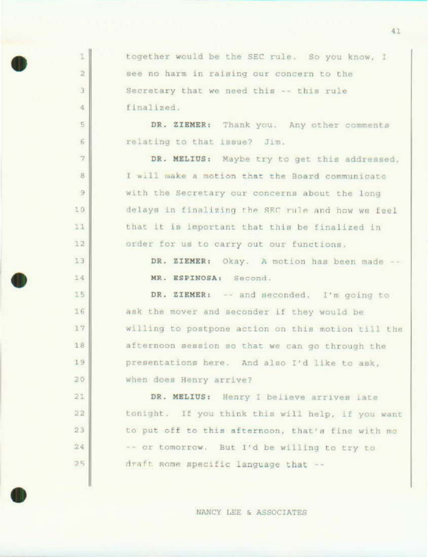together would be the SEC rule. So you know, I see no harm in raising our concern to the Secretary that we need this -- this rule finalized.

Ŧ

 $\overline{2}$ 

3

滹

5

6

 $\overline{7}$ 

8

 $\Theta$ 

10

 $11$ 

 $72$ 

13

14

15

16

 $17$ 

18

19

20

 $21$ 

 $22$ 

 $23$ 

 $2.4$ 

 $25$ 

DR. ZIEMER: Thank you. Any other comments relating to that issue? Jim.

DR. MELIUS: Maybe try to get this addressed, I will make a motion that the Board communicate with the Secretary our concerns about the long delays in finalizing the SEC rule and how we feel that it is important that this be finalized in order for us to carry out our functions.

> DR. ZIEMER: Okay. A motion has been made --MR. ESPINOSA: Second.

DR. ZIEMER: -- and seconded. I'm going to ask the mover and seconder if they would be willing to postpone action on this motion till the afternoon session so that we can go through the presentations here. And also I'd like to ask, when does Henry arrive?

DR. MELIUS: Henry I believe arrives late tonight. If you think this will help, if you want to put off to this afternoon, that's fine with me -- or tomorrow. But I'd be willing to try to draft some specific language that --

NANCY LEE & ASSOCIATES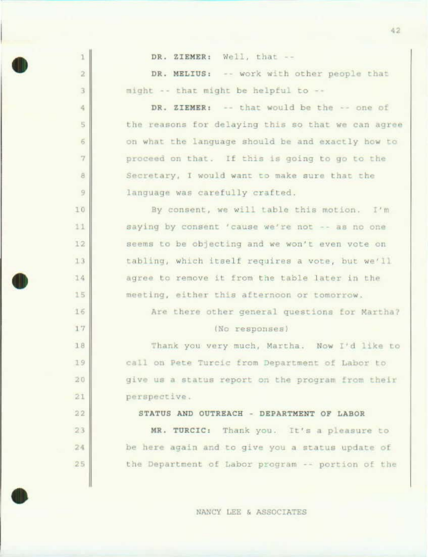| 1              | DR. ZIEMER: Well, that --                          |
|----------------|----------------------------------------------------|
| $\bar{2}$      | DR. MELIUS: -- work with other people that         |
| $\overline{3}$ | might -- that might be helpful to --               |
| 4              | DR. ZIEMER: -- that would be the -- one of         |
| $\sqrt{5}$     | the reasons for delaying this so that we can agree |
| $\ddot{6}$     | on what the language should be and exactly how to  |
| $\overline{7}$ | proceed on that. If this is going to go to the     |
| $\rm\,s$       | Secretary, I would want to make sure that the      |
| 9              | language was carefully crafted.                    |
| 10             | By consent, we will table this motion. I'm         |
| 11             | saying by consent 'cause we're not -- as no one    |
| 12             | seems to be objecting and we won't even vote on    |
| 1.3            | tabling, which itself requires a vote, but we'll   |
| 14             | agree to remove it from the table later in the     |
| 15             | meeting, either this afternoon or tomorrow.        |
| 16             | Are there other general questions for Martha?      |
| 17             | (No responses)                                     |
| 18             | Thank you very much, Martha. Now I'd like to       |
| 19             | call on Pete Turcic from Department of Labor to    |
| 20             | give us a status report on the program from their  |
| 21             | perspective.                                       |
| 22             | STATUS AND OUTREACH - DEPARTMENT OF LABOR          |
| 23             | MR. TURCIC: Thank you. It's a pleasure to          |
| 24             | be here again and to give you a status update of   |
| 25             | the Department of Labor program -- portion of the  |
|                |                                                    |

NANCY LEE & ASSOCIATES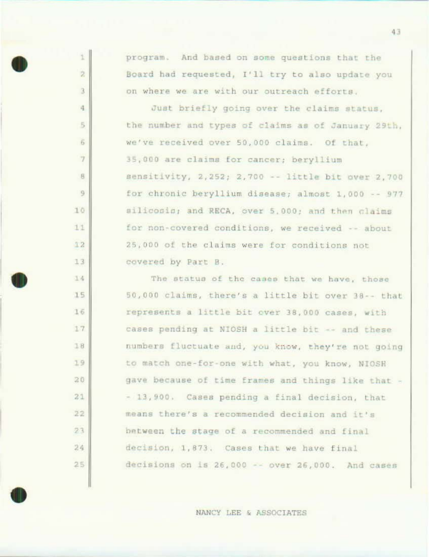program. And based on some questions that the Board had requested, I'll try to also update you on where we are with our outreach efforts.

t

 $\overline{2}$ 

 $\bar{A}$ 

 $\frac{1}{2}$ 

5

6

7

8

9

10

11

12

13

14

15

16

17

18

19

20

 $21$ 

22

 $23$ 

 $24$ 

 $25$ 

Just briefly going over the claims status, the number and types of claims as of January 29th, we've received over 50,000 claims. Of that, 35,000 are claims for cancer; beryllium sensitivity, 2,252; 2,700 -- little bit over 2,700 for chronic beryllium disease; almost 1,000 -- 977 silicosis; and RECA, over 5,000; and then claims for non-covered conditions, we received -- about 25,000 of the claims were for conditions not covered by Part B.

The status of the cases that we have, those 50,000 claims, there's a little bit over 38 -- that represents a little bit over 38,000 cases, with cases pending at NIOSH a little bit -- and these numbers fluctuate and, you know, they're not going to match one-for-one with what, you know, NIOSH gave because of time frames and things like that -- 13,900. Cases pending a final decision, that means there's a recommended decision and it's between the stage of a recommended and final decision, 1,873. Cases that we have final decisions on is 26,000 -- over 26,000. And cases

NANCY LEE & ASSOCIATES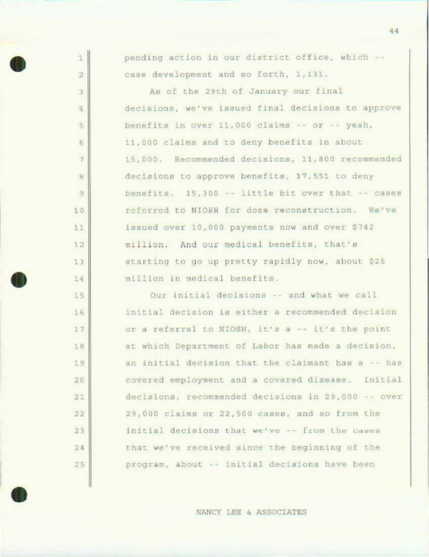| $\mathbbm{1}$      | pending action in our district office, which --    |
|--------------------|----------------------------------------------------|
| $\bar{z}$          | case development and so forth, 1,131.              |
| 3                  | As of the 29th of January our final                |
| $\epsilon_{\rm s}$ | decisions, we've issued final decisions to approve |
| $\overline{5}$     | benefits in over 11,000 claims -- or -- yeah,      |
| 6                  | 11,000 claims and to deny benefits in about        |
| $\overline{7}$     | 15,000. Recommended decisions, 11,800 recommended  |
| B                  | decisions to approve benefits, 17,551 to deny      |
| $\mathcal{G}$      | benefits. 15,300 -- little bit over that -- cases  |
| 10                 | referred to NIOSH for dose reconstruction. We've   |
| 11                 | issued over 10,000 payments now and over \$742     |
| $12^{12}$          | million. And our medical benefits, that's          |
| 13                 | starting to go up pretty rapidly now, about \$25   |
| 14                 | million in medical benefits.                       |
| 15                 | Our initial decisions -- and what we call          |
| 16                 | initial decision is either a recommended decision  |
| 17                 | or a referral to NIOSH, it's a -- it's the point   |
| 18                 | at which Department of Labor has made a decision,  |
| 19                 | an initial decision that the claimant has a -- has |
| 20                 | covered employment and a covered disease. Initial  |
| 21                 | decisions, recommended decisions in 29,000 -- over |
| 22                 | 29,000 claims or 22,500 cases, and so from the     |
| 23                 | initial decisions that we've -- from the cases     |
| 24                 | that we've received since the beginning of the     |

 $4\,4$ 

NANCY LEE & ASSOCIATES

program, about -- initial decisions have been